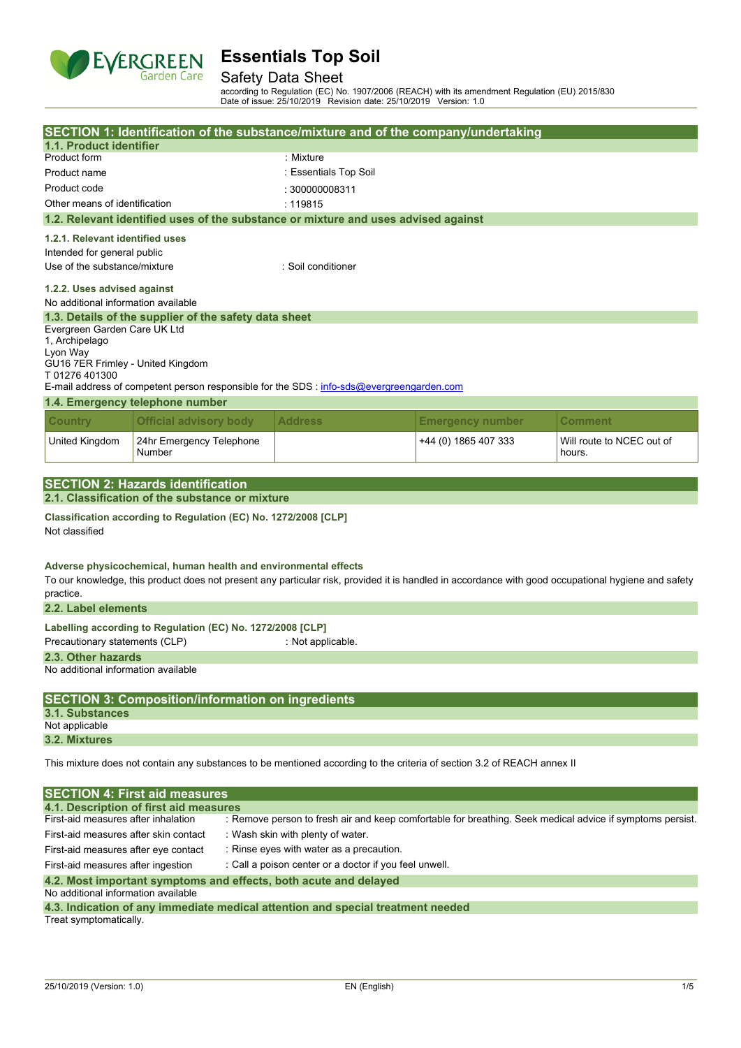

### Safety Data Sheet

according to Regulation (EC) No. 1907/2006 (REACH) with its amendment Regulation (EU) 2015/830 Date of issue: 25/10/2019 Revision date: 25/10/2019 Version: 1.0

|                                                                                                                         |                                                                                              |                       | SECTION 1: Identification of the substance/mixture and of the company/undertaking         |                         |                                                                                                                                                     |
|-------------------------------------------------------------------------------------------------------------------------|----------------------------------------------------------------------------------------------|-----------------------|-------------------------------------------------------------------------------------------|-------------------------|-----------------------------------------------------------------------------------------------------------------------------------------------------|
| 1.1. Product identifier                                                                                                 |                                                                                              |                       |                                                                                           |                         |                                                                                                                                                     |
| Product form                                                                                                            |                                                                                              |                       | : Mixture                                                                                 |                         |                                                                                                                                                     |
| Product name                                                                                                            |                                                                                              | : Essentials Top Soil |                                                                                           |                         |                                                                                                                                                     |
| Product code                                                                                                            |                                                                                              | : 300000008311        |                                                                                           |                         |                                                                                                                                                     |
| Other means of identification                                                                                           |                                                                                              | : 119815              |                                                                                           |                         |                                                                                                                                                     |
|                                                                                                                         |                                                                                              |                       | 1.2. Relevant identified uses of the substance or mixture and uses advised against        |                         |                                                                                                                                                     |
| 1.2.1. Relevant identified uses                                                                                         |                                                                                              |                       |                                                                                           |                         |                                                                                                                                                     |
| Intended for general public                                                                                             |                                                                                              |                       |                                                                                           |                         |                                                                                                                                                     |
| Use of the substance/mixture                                                                                            |                                                                                              |                       | · Soil conditioner                                                                        |                         |                                                                                                                                                     |
|                                                                                                                         |                                                                                              |                       |                                                                                           |                         |                                                                                                                                                     |
| 1.2.2. Uses advised against                                                                                             |                                                                                              |                       |                                                                                           |                         |                                                                                                                                                     |
| No additional information available                                                                                     |                                                                                              |                       |                                                                                           |                         |                                                                                                                                                     |
|                                                                                                                         | 1.3. Details of the supplier of the safety data sheet                                        |                       |                                                                                           |                         |                                                                                                                                                     |
| Evergreen Garden Care UK Ltd                                                                                            |                                                                                              |                       |                                                                                           |                         |                                                                                                                                                     |
| 1, Archipelago<br>Lyon Way                                                                                              |                                                                                              |                       |                                                                                           |                         |                                                                                                                                                     |
| GU16 7ER Frimley - United Kingdom                                                                                       |                                                                                              |                       |                                                                                           |                         |                                                                                                                                                     |
| T01276401300                                                                                                            |                                                                                              |                       |                                                                                           |                         |                                                                                                                                                     |
|                                                                                                                         |                                                                                              |                       | E-mail address of competent person responsible for the SDS : info-sds@evergreengarden.com |                         |                                                                                                                                                     |
|                                                                                                                         | 1.4. Emergency telephone number                                                              |                       |                                                                                           |                         |                                                                                                                                                     |
| <b>Country</b>                                                                                                          | <b>Official advisory body</b>                                                                |                       | <b>Address</b>                                                                            | <b>Emergency number</b> | Comment                                                                                                                                             |
| United Kingdom                                                                                                          | 24hr Emergency Telephone<br>Number                                                           |                       |                                                                                           | +44 (0) 1865 407 333    | Will route to NCEC out of<br>hours.                                                                                                                 |
|                                                                                                                         |                                                                                              |                       |                                                                                           |                         |                                                                                                                                                     |
|                                                                                                                         | <b>SECTION 2: Hazards identification</b>                                                     |                       |                                                                                           |                         |                                                                                                                                                     |
|                                                                                                                         | 2.1. Classification of the substance or mixture                                              |                       |                                                                                           |                         |                                                                                                                                                     |
| Not classified                                                                                                          | Classification according to Regulation (EC) No. 1272/2008 [CLP]                              |                       |                                                                                           |                         |                                                                                                                                                     |
| practice.                                                                                                               | Adverse physicochemical, human health and environmental effects                              |                       |                                                                                           |                         | To our knowledge, this product does not present any particular risk, provided it is handled in accordance with good occupational hygiene and safety |
| 2.2. Label elements                                                                                                     |                                                                                              |                       |                                                                                           |                         |                                                                                                                                                     |
|                                                                                                                         | Labelling according to Regulation (EC) No. 1272/2008 [CLP]                                   |                       |                                                                                           |                         |                                                                                                                                                     |
| Precautionary statements (CLP)                                                                                          |                                                                                              |                       | : Not applicable.                                                                         |                         |                                                                                                                                                     |
| 2.3. Other hazards                                                                                                      |                                                                                              |                       |                                                                                           |                         |                                                                                                                                                     |
| No additional information available                                                                                     |                                                                                              |                       |                                                                                           |                         |                                                                                                                                                     |
|                                                                                                                         |                                                                                              |                       |                                                                                           |                         |                                                                                                                                                     |
| <b>SECTION 3: Composition/information on ingredients</b><br><b>3.1. Substances</b>                                      |                                                                                              |                       |                                                                                           |                         |                                                                                                                                                     |
| Not applicable                                                                                                          |                                                                                              |                       |                                                                                           |                         |                                                                                                                                                     |
| 3.2. Mixtures                                                                                                           |                                                                                              |                       |                                                                                           |                         |                                                                                                                                                     |
| This mixture does not contain any substances to be mentioned according to the criteria of section 3.2 of REACH annex II |                                                                                              |                       |                                                                                           |                         |                                                                                                                                                     |
|                                                                                                                         |                                                                                              |                       |                                                                                           |                         |                                                                                                                                                     |
|                                                                                                                         | <b>SECTION 4: First aid measures</b>                                                         |                       |                                                                                           |                         |                                                                                                                                                     |
|                                                                                                                         | 4.1. Description of first aid measures                                                       |                       |                                                                                           |                         |                                                                                                                                                     |
| First-aid measures after inhalation                                                                                     |                                                                                              |                       |                                                                                           |                         | : Remove person to fresh air and keep comfortable for breathing. Seek medical advice if symptoms persist.                                           |
|                                                                                                                         | First-aid measures after skin contact<br>: Wash skin with plenty of water.                   |                       |                                                                                           |                         |                                                                                                                                                     |
|                                                                                                                         | : Rinse eyes with water as a precaution.<br>First-aid measures after eye contact             |                       |                                                                                           |                         |                                                                                                                                                     |
|                                                                                                                         | First-aid measures after ingestion<br>: Call a poison center or a doctor if you feel unwell. |                       |                                                                                           |                         |                                                                                                                                                     |
|                                                                                                                         |                                                                                              |                       |                                                                                           |                         |                                                                                                                                                     |
| 4.2. Most important symptoms and effects, both acute and delayed<br>No additional information available                 |                                                                                              |                       |                                                                                           |                         |                                                                                                                                                     |

**4.3. Indication of any immediate medical attention and special treatment needed** Treat symptomatically.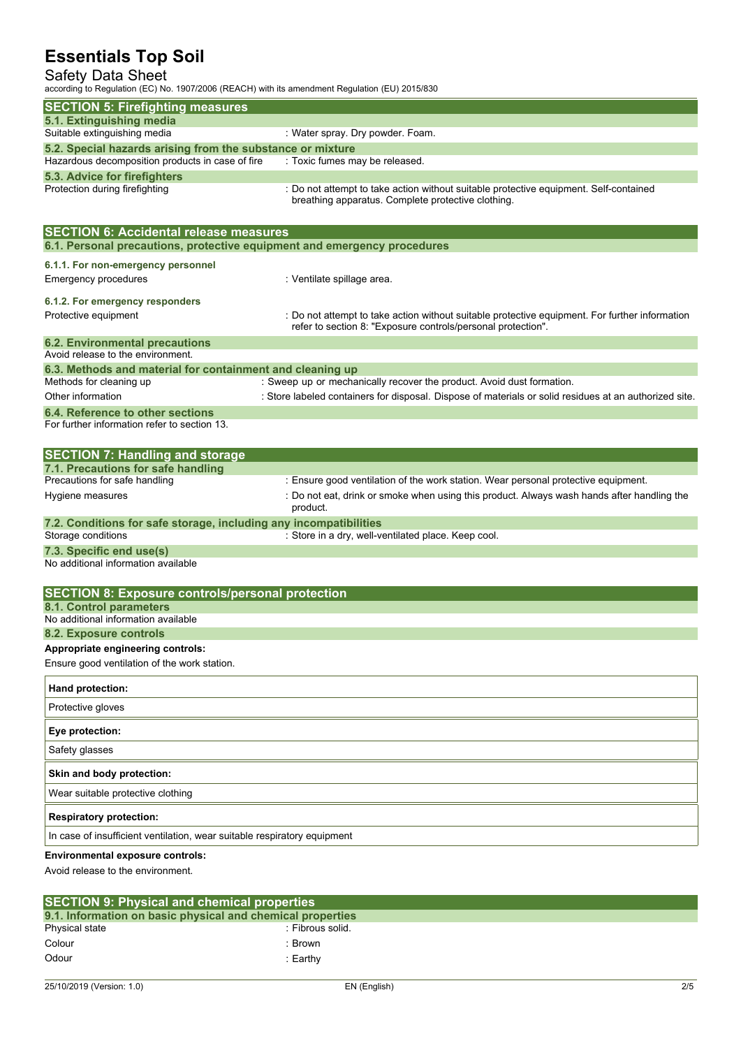## Safety Data Sheet

according to Regulation (EC) No. 1907/2006 (REACH) with its amendment Regulation (EU) 2015/830

| according to inequiation (EC) NO. 1907/2000 (INEACH) With its americanerit inequiation (EO) 2019/090                      |                                                                                                                                                                |
|---------------------------------------------------------------------------------------------------------------------------|----------------------------------------------------------------------------------------------------------------------------------------------------------------|
| <b>SECTION 5: Firefighting measures</b>                                                                                   |                                                                                                                                                                |
| 5.1. Extinguishing media<br>Suitable extinguishing media                                                                  | : Water spray. Dry powder. Foam.                                                                                                                               |
| 5.2. Special hazards arising from the substance or mixture                                                                |                                                                                                                                                                |
| Hazardous decomposition products in case of fire                                                                          | : Toxic fumes may be released.                                                                                                                                 |
| 5.3. Advice for firefighters                                                                                              |                                                                                                                                                                |
| Protection during firefighting                                                                                            | : Do not attempt to take action without suitable protective equipment. Self-contained<br>breathing apparatus. Complete protective clothing.                    |
| <b>SECTION 6: Accidental release measures</b><br>6.1. Personal precautions, protective equipment and emergency procedures |                                                                                                                                                                |
| 6.1.1. For non-emergency personnel                                                                                        |                                                                                                                                                                |
| <b>Emergency procedures</b>                                                                                               | : Ventilate spillage area.                                                                                                                                     |
| 6.1.2. For emergency responders                                                                                           |                                                                                                                                                                |
| Protective equipment                                                                                                      | : Do not attempt to take action without suitable protective equipment. For further information<br>refer to section 8: "Exposure controls/personal protection". |
| <b>6.2. Environmental precautions</b>                                                                                     |                                                                                                                                                                |
| Avoid release to the environment.<br>6.3. Methods and material for containment and cleaning up                            |                                                                                                                                                                |
| Methods for cleaning up                                                                                                   | : Sweep up or mechanically recover the product. Avoid dust formation.                                                                                          |
| Other information                                                                                                         | : Store labeled containers for disposal. Dispose of materials or solid residues at an authorized site.                                                         |
| 6.4. Reference to other sections                                                                                          |                                                                                                                                                                |
| For further information refer to section 13.                                                                              |                                                                                                                                                                |
| <b>SECTION 7: Handling and storage</b><br>7.1. Precautions for safe handling                                              |                                                                                                                                                                |
| Precautions for safe handling                                                                                             | : Ensure good ventilation of the work station. Wear personal protective equipment.                                                                             |
| Hygiene measures                                                                                                          | : Do not eat, drink or smoke when using this product. Always wash hands after handling the<br>product.                                                         |
| 7.2. Conditions for safe storage, including any incompatibilities                                                         |                                                                                                                                                                |
| Storage conditions                                                                                                        | : Store in a dry, well-ventilated place. Keep cool.                                                                                                            |
| 7.3. Specific end use(s)<br>No additional information available                                                           |                                                                                                                                                                |
| <b>SECTION 8: Exposure controls/personal protection</b>                                                                   |                                                                                                                                                                |
| 8.1. Control parameters<br>No additional information available                                                            |                                                                                                                                                                |
| 8.2. Exposure controls                                                                                                    |                                                                                                                                                                |
| Appropriate engineering controls:                                                                                         |                                                                                                                                                                |
| Ensure good ventilation of the work station.                                                                              |                                                                                                                                                                |
| Hand protection:                                                                                                          |                                                                                                                                                                |
| Protective gloves                                                                                                         |                                                                                                                                                                |
| Eye protection:                                                                                                           |                                                                                                                                                                |
| Safety glasses                                                                                                            |                                                                                                                                                                |
| Skin and body protection:                                                                                                 |                                                                                                                                                                |
| Wear suitable protective clothing                                                                                         |                                                                                                                                                                |
| <b>Respiratory protection:</b>                                                                                            |                                                                                                                                                                |
| In case of insufficient ventilation, wear suitable respiratory equipment                                                  |                                                                                                                                                                |
| <b>Environmental exposure controls:</b>                                                                                   |                                                                                                                                                                |
| Avoid release to the environment.                                                                                         |                                                                                                                                                                |

| <b>SECTION 9: Physical and chemical properties</b>         |                  |  |  |
|------------------------------------------------------------|------------------|--|--|
| 9.1. Information on basic physical and chemical properties |                  |  |  |
| Physical state                                             | : Fibrous solid. |  |  |
| Colour                                                     | Brown            |  |  |
| Odour                                                      | :Earthy          |  |  |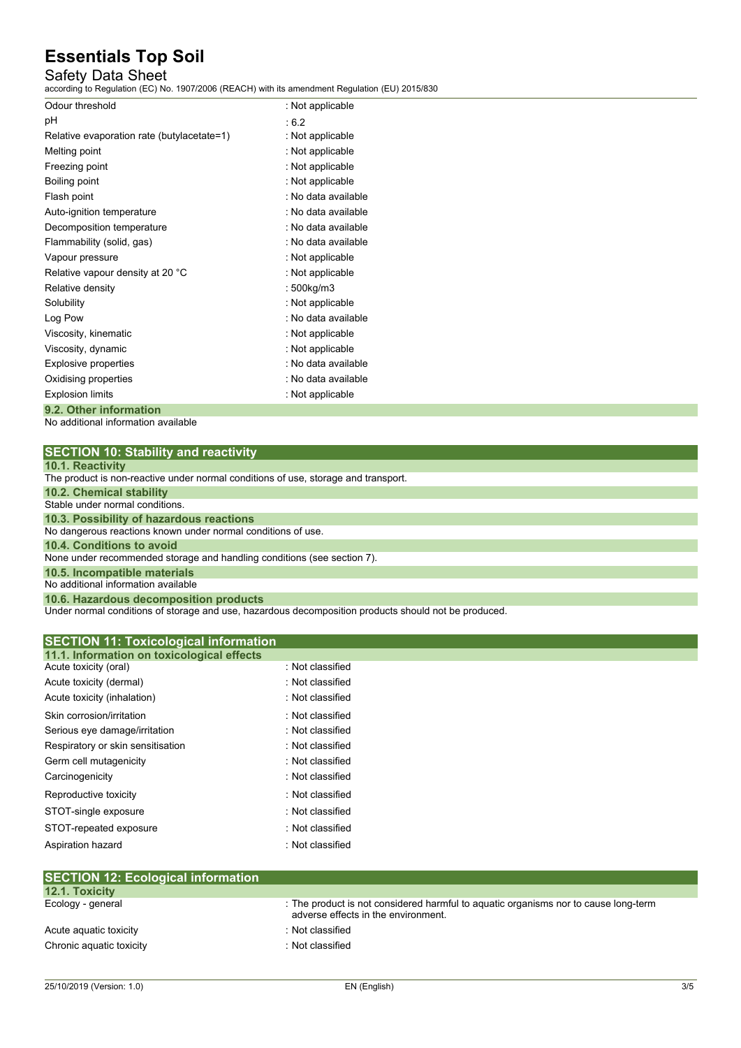## Safety Data Sheet

according to Regulation (EC) No. 1907/2006 (REACH) with its amendment Regulation (EU) 2015/830

| Odour threshold                            | : Not applicable    |
|--------------------------------------------|---------------------|
| рH                                         | :6.2                |
| Relative evaporation rate (butylacetate=1) | : Not applicable    |
| Melting point                              | : Not applicable    |
| Freezing point                             | : Not applicable    |
| Boiling point                              | : Not applicable    |
| Flash point                                | : No data available |
| Auto-ignition temperature                  | : No data available |
| Decomposition temperature                  | : No data available |
| Flammability (solid, gas)                  | : No data available |
| Vapour pressure                            | : Not applicable    |
| Relative vapour density at 20 °C           | : Not applicable    |
| Relative density                           | : 500kg/m3          |
| Solubility                                 | : Not applicable    |
| Log Pow                                    | : No data available |
| Viscosity, kinematic                       | : Not applicable    |
| Viscosity, dynamic                         | : Not applicable    |
| Explosive properties                       | : No data available |
| Oxidising properties                       | : No data available |
| <b>Explosion limits</b>                    | : Not applicable    |
| 9.2. Other information                     |                     |

No additional information available

| <b>SECTION 10: Stability and reactivity</b> |  |
|---------------------------------------------|--|
|---------------------------------------------|--|

| <b>10.1. Reactivity</b> |
|-------------------------|
|-------------------------|

Under normal conditions of storage and use, hazardous decomposition products should not be produced.

| <b>SECTION 11: Toxicological information</b> |                  |  |
|----------------------------------------------|------------------|--|
| 11.1. Information on toxicological effects   |                  |  |
| Acute toxicity (oral)                        | : Not classified |  |
| Acute toxicity (dermal)                      | : Not classified |  |
| Acute toxicity (inhalation)                  | : Not classified |  |
| Skin corrosion/irritation                    | : Not classified |  |
| Serious eye damage/irritation                | : Not classified |  |
| Respiratory or skin sensitisation            | : Not classified |  |
| Germ cell mutagenicity                       | : Not classified |  |
| Carcinogenicity                              | : Not classified |  |
| Reproductive toxicity                        | : Not classified |  |
| STOT-single exposure                         | : Not classified |  |
| STOT-repeated exposure                       | : Not classified |  |
| Aspiration hazard                            | : Not classified |  |
|                                              |                  |  |

| ISECTION TZ. ECOlOGICAI IIIIOHIIAUOH |                                                                                                                            |
|--------------------------------------|----------------------------------------------------------------------------------------------------------------------------|
| <b>12.1. Toxicity</b>                |                                                                                                                            |
| Ecology - general                    | : The product is not considered harmful to aquatic organisms nor to cause long-term<br>adverse effects in the environment. |
| Acute aguatic toxicity               | : Not classified                                                                                                           |
| Chronic aquatic toxicity             | : Not classified                                                                                                           |
|                                      |                                                                                                                            |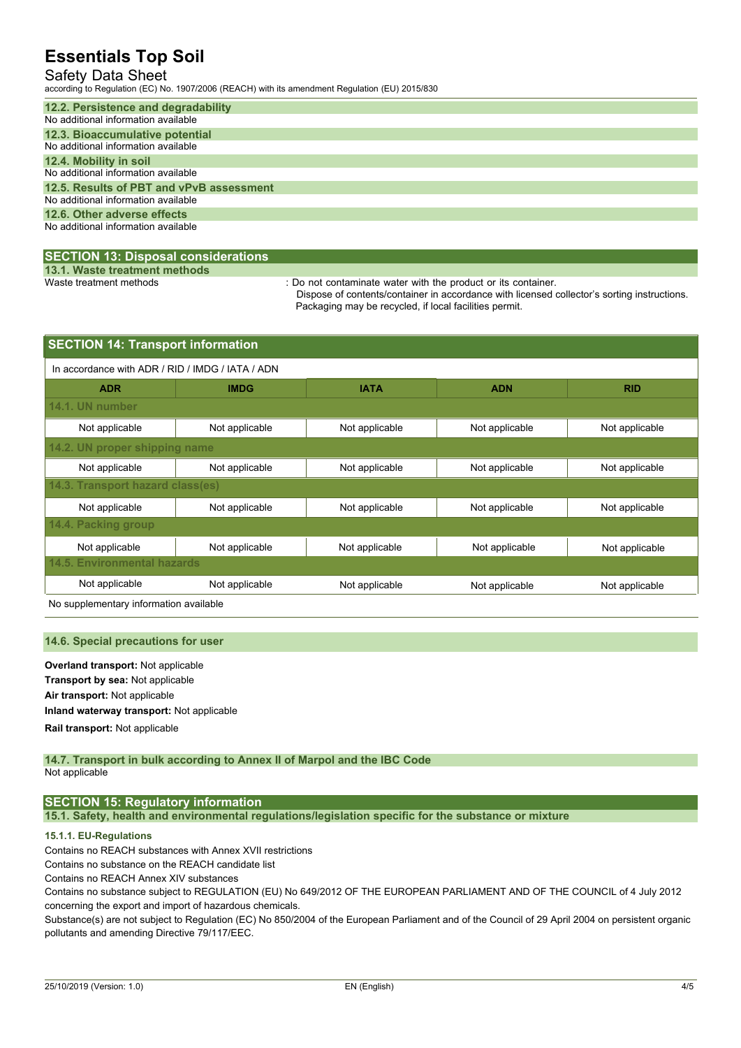## Safety Data Sheet

according to Regulation (EC) No. 1907/2006 (REACH) with its amendment Regulation (EU) 2015/830

| 12.2. Persistence and degradability      |
|------------------------------------------|
| No additional information available      |
| 12.3. Bioaccumulative potential          |
| No additional information available      |
| 12.4. Mobility in soil                   |
| No additional information available      |
| 12.5. Results of PBT and vPvB assessment |
| No additional information available      |
| 12.6. Other adverse effects              |
| No additional information available      |
|                                          |

### **SECTION 13: Disposal considerations**

**13.1. Waste treatment methods**

: Do not contaminate water with the product or its container.

Dispose of contents/container in accordance with licensed collector's sorting instructions. Packaging may be recycled, if local facilities permit.

| <b>SECTION 14: Transport information</b>         |                |                |                |                |  |  |
|--------------------------------------------------|----------------|----------------|----------------|----------------|--|--|
| In accordance with ADR / RID / IMDG / IATA / ADN |                |                |                |                |  |  |
| <b>ADR</b>                                       | <b>IMDG</b>    | <b>IATA</b>    | <b>ADN</b>     | <b>RID</b>     |  |  |
| 14.1. UN number                                  |                |                |                |                |  |  |
| Not applicable                                   | Not applicable | Not applicable | Not applicable | Not applicable |  |  |
| 14.2. UN proper shipping name                    |                |                |                |                |  |  |
| Not applicable                                   | Not applicable | Not applicable | Not applicable | Not applicable |  |  |
| 14.3. Transport hazard class(es)                 |                |                |                |                |  |  |
| Not applicable                                   | Not applicable | Not applicable | Not applicable | Not applicable |  |  |
| 14.4. Packing group                              |                |                |                |                |  |  |
| Not applicable                                   | Not applicable | Not applicable | Not applicable | Not applicable |  |  |
| 14.5. Environmental hazards                      |                |                |                |                |  |  |
| Not applicable                                   | Not applicable | Not applicable | Not applicable | Not applicable |  |  |

No supplementary information available

#### **14.6. Special precautions for user**

**Overland transport:** Not applicable **Transport by sea:** Not applicable **Air transport:** Not applicable **Inland waterway transport:** Not applicable **Rail.transport:** Not applicable

#### **14.7. Transport in bulk according to Annex II of Marpol and the IBC Code** Not applicable

### **SECTION 15: Regulatory information**

**15.1. Safety, health and environmental regulations/legislation specific for the substance or mixture**

### **15.1.1. EU-Regulations**

Contains no REACH substances with Annex XVII restrictions

Contains no substance on the REACH candidate list

Contains no REACH Annex XIV substances

Contains no substance subject to REGULATION (EU) No 649/2012 OF THE EUROPEAN PARLIAMENT AND OF THE COUNCIL of 4 July 2012 concerning the export and import of hazardous chemicals.

Substance(s) are not subject to Regulation (EC) No 850/2004 of the European Parliament and of the Council of 29 April 2004 on persistent organic pollutants and amending Directive 79/117/EEC.